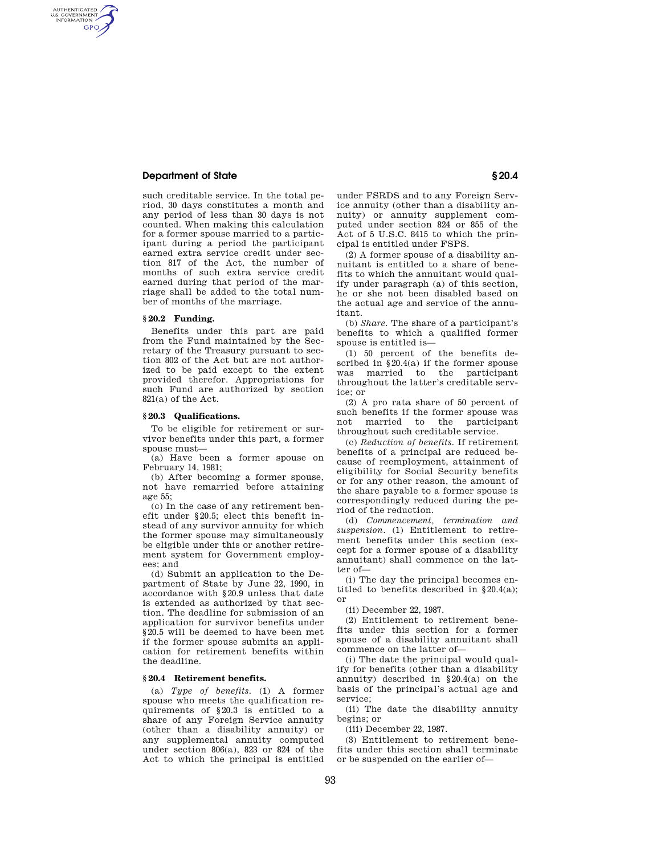# **Department of State § 20.4**

AUTHENTICATED<br>U.S. GOVERNMENT<br>INFORMATION **GPO** 

> such creditable service. In the total period, 30 days constitutes a month and any period of less than 30 days is not counted. When making this calculation for a former spouse married to a participant during a period the participant earned extra service credit under section 817 of the Act, the number of months of such extra service credit earned during that period of the marriage shall be added to the total number of months of the marriage.

## **§ 20.2 Funding.**

Benefits under this part are paid from the Fund maintained by the Secretary of the Treasury pursuant to section 802 of the Act but are not authorized to be paid except to the extent provided therefor. Appropriations for such Fund are authorized by section 821(a) of the Act.

### **§ 20.3 Qualifications.**

To be eligible for retirement or survivor benefits under this part, a former spouse must—

(a) Have been a former spouse on February 14, 1981;

(b) After becoming a former spouse, not have remarried before attaining age 55;

(c) In the case of any retirement benefit under §20.5; elect this benefit instead of any survivor annuity for which the former spouse may simultaneously be eligible under this or another retirement system for Government employees; and

(d) Submit an application to the Department of State by June 22, 1990, in accordance with §20.9 unless that date is extended as authorized by that section. The deadline for submission of an application for survivor benefits under §20.5 will be deemed to have been met if the former spouse submits an application for retirement benefits within the deadline.

### **§ 20.4 Retirement benefits.**

(a) *Type of benefits.* (1) A former spouse who meets the qualification requirements of §20.3 is entitled to a share of any Foreign Service annuity (other than a disability annuity) or any supplemental annuity computed under section 806(a), 823 or 824 of the Act to which the principal is entitled

under FSRDS and to any Foreign Service annuity (other than a disability annuity) or annuity supplement computed under section 824 or 855 of the Act of 5 U.S.C. 8415 to which the principal is entitled under FSPS.

(2) A former spouse of a disability annuitant is entitled to a share of benefits to which the annuitant would qualify under paragraph (a) of this section, he or she not been disabled based on the actual age and service of the annuitant.

(b) *Share.* The share of a participant's benefits to which a qualified former spouse is entitled is—

(1) 50 percent of the benefits described in §20.4(a) if the former spouse was married to the participant throughout the latter's creditable service; or

(2) A pro rata share of 50 percent of such benefits if the former spouse was not married to the participant throughout such creditable service.

(c) *Reduction of benefits.* If retirement benefits of a principal are reduced because of reemployment, attainment of eligibility for Social Security benefits or for any other reason, the amount of the share payable to a former spouse is correspondingly reduced during the period of the reduction.

(d) *Commencement, termination and suspension.* (1) Entitlement to retirement benefits under this section (except for a former spouse of a disability annuitant) shall commence on the latter of—

(i) The day the principal becomes entitled to benefits described in §20.4(a); or

(ii) December 22, 1987.

(2) Entitlement to retirement benefits under this section for a former spouse of a disability annuitant shall commence on the latter of—

(i) The date the principal would qualify for benefits (other than a disability annuity) described in §20.4(a) on the basis of the principal's actual age and service;

(ii) The date the disability annuity begins; or

(iii) December 22, 1987.

(3) Entitlement to retirement benefits under this section shall terminate or be suspended on the earlier of—